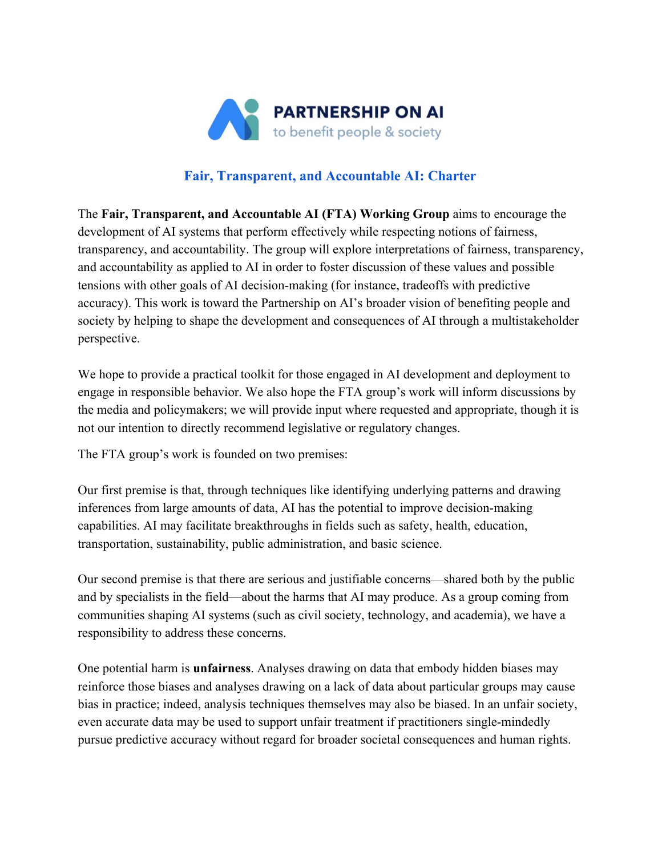

## **Fair, Transparent, and Accountable AI: Charter**

The **Fair, Transparent, and Accountable AI (FTA) Working Group** aims to encourage the development of AI systems that perform effectively while respecting notions of fairness, transparency, and accountability. The group will explore interpretations of fairness, transparency, and accountability as applied to AI in order to foster discussion of these values and possible tensions with other goals of AI decision-making (for instance, tradeoffs with predictive accuracy). This work is toward the Partnership on AI's broader vision of benefiting people and society by helping to shape the development and consequences of AI through a multistakeholder perspective.

We hope to provide a practical toolkit for those engaged in AI development and deployment to engage in responsible behavior. We also hope the FTA group's work will inform discussions by the media and policymakers; we will provide input where requested and appropriate, though it is not our intention to directly recommend legislative or regulatory changes.

The FTA group's work is founded on two premises:

Our first premise is that, through techniques like identifying underlying patterns and drawing inferences from large amounts of data, AI has the potential to improve decision-making capabilities. AI may facilitate breakthroughs in fields such as safety, health, education, transportation, sustainability, public administration, and basic science.

Our second premise is that there are serious and justifiable concerns—shared both by the public and by specialists in the field—about the harms that AI may produce. As a group coming from communities shaping AI systems (such as civil society, technology, and academia), we have a responsibility to address these concerns.

One potential harm is **unfairness**. Analyses drawing on data that embody hidden biases may reinforce those biases and analyses drawing on a lack of data about particular groups may cause bias in practice; indeed, analysis techniques themselves may also be biased. In an unfair society, even accurate data may be used to support unfair treatment if practitioners single-mindedly pursue predictive accuracy without regard for broader societal consequences and human rights.